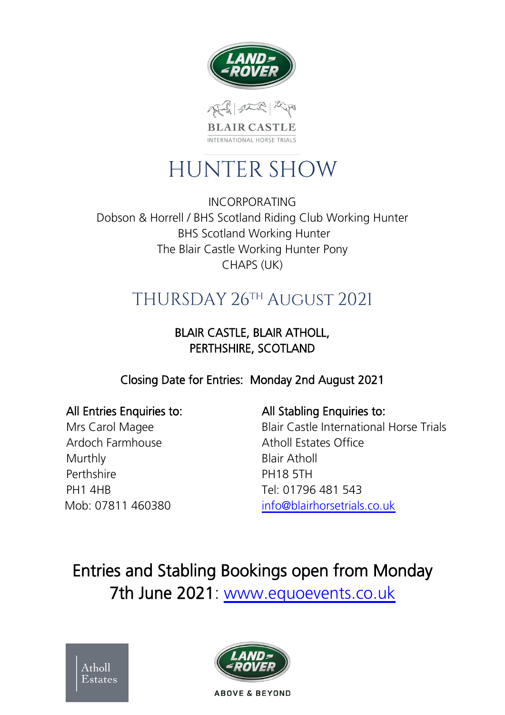

# **HUNTER SHOW**

INCORPORATING Dobson & Horrell / BHS Scotland Riding Club Working Hunter BHS Scotland Working Hunter The Blair Castle Working Hunter Pony CHAPS (UK)

## THURSDAY 26TH AUGUST 2021

### BLAIR CASTLE, BLAIR ATHOLL, PERTHSHIRE, SCOTLAND

Closing Date for Entries: Monday 2nd August 2021

Ardoch Farmhouse Atholl Estates Office Murthly **Blair Atholl** Perthshire PH18 5TH PH1 4HB Tel: 01796 481 543

### All Entries Enquiries to: All Stabling Enquiries to:

Mrs Carol Magee Blair Castle International Horse Trials Mob: 07811 460380 [info@blairhorsetrials.co.uk](mailto:info@blairhorsetrials.co.uk)

Entries and Stabling Bookings open from Monday 7th June 2021: [www.equoevents.co.uk](https://www.equoevents.co.uk/Venues/View/757)



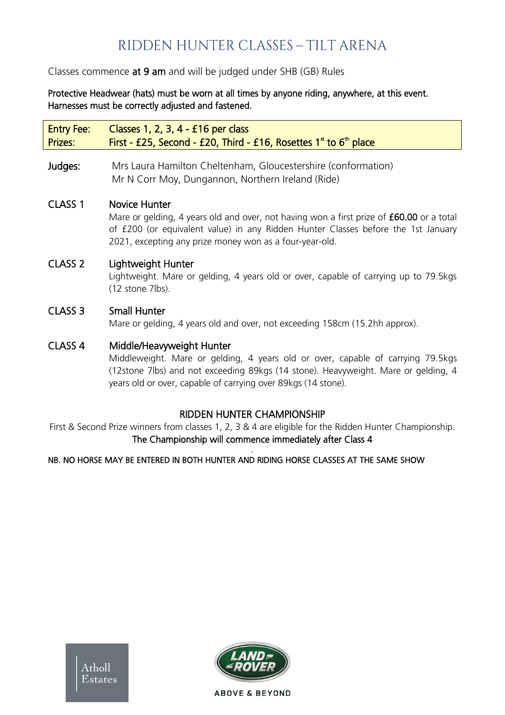### RIDDEN HUNTER CLASSES - TILT ARENA

#### Classes commence at 9 am and will be judged under SHB (GB) Rules

Protective Headwear (hats) must be worn at all times by anyone riding, anywhere, at this event. Harnesses must be correctly adjusted and fastened.

Entry Fee: Classes 1, 2, 3, 4 - £16 per class Prizes: First - £25, Second - £20, Third - £16, Rosettes  $1^{\text{st}}$  to  $6^{\text{th}}$  place

Judges: Mrs Laura Hamilton Cheltenham, Gloucestershire (conformation) Mr N Corr Moy, Dungannon, Northern Ireland (Ride)

#### CLASS 1 Novice Hunter

Mare or gelding, 4 years old and over, not having won a first prize of £60.00 or a total of £200 (or equivalent value) in any Ridden Hunter Classes before the 1st January 2021, excepting any prize money won as a four-year-old.

#### CLASS 2 Lightweight Hunter

Lightweight. Mare or gelding, 4 years old or over, capable of carrying up to 79.5kgs (12 stone 7lbs).

### CLASS 3 Small Hunter

Mare or gelding, 4 years old and over, not exceeding 158cm (15.2hh approx).

#### CLASS 4 Middle/Heavyweight Hunter

Middleweight. Mare or gelding, 4 years old or over, capable of carrying 79.5kgs (12stone 7lbs) and not exceeding 89kgs (14 stone). Heavyweight. Mare or gelding, 4 years old or over, capable of carrying over 89kgs (14 stone).

### RIDDEN HUNTER CHAMPIONSHIP

First & Second Prize winners from classes 1, 2, 3 & 4 are eligible for the Ridden Hunter Championship. The Championship will commence immediately after Class 4 .

#### NB. NO HORSE MAY BE ENTERED IN BOTH HUNTER AND RIDING HORSE CLASSES AT THE SAME SHOW

**tholl** Estates

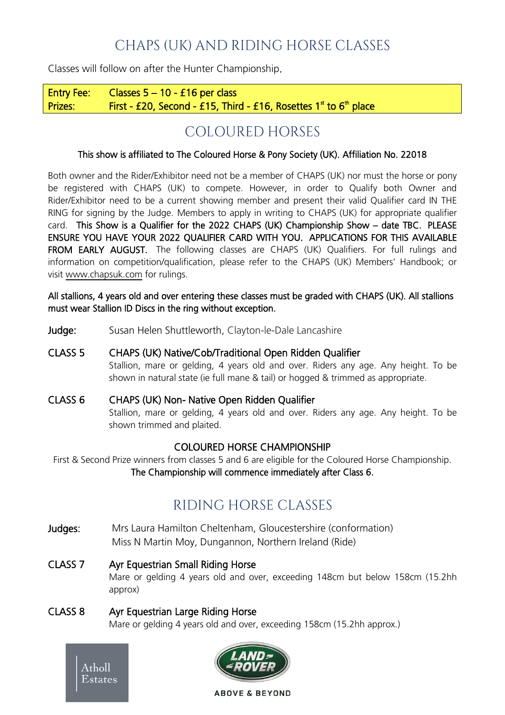### CHAPS (UK) AND RIDING HORSE CLASSES

Classes will follow on after the Hunter Championship.

Entry Fee: Classes  $5 - 10 - 16$  per class Prizes: First - £20, Second - £15, Third - £16, Rosettes  $1^{\text{st}}$  to  $6^{\text{th}}$  place

### COLOURED HORSES

#### This show is affiliated to The Coloured Horse & Pony Society (UK). Affiliation No. 22018

Both owner and the Rider/Exhibitor need not be a member of CHAPS (UK) nor must the horse or pony be registered with CHAPS (UK) to compete. However, in order to Qualify both Owner and Rider/Exhibitor need to be a current showing member and present their valid Qualifier card IN THE RING for signing by the Judge. Members to apply in writing to CHAPS (UK) for appropriate qualifier card. This Show is a Qualifier for the 2022 CHAPS (UK) Championship Show – date TBC. PLEASE ENSURE YOU HAVE YOUR 2022 QUALIFIER CARD WITH YOU. APPLICATIONS FOR THIS AVAILABLE FROM EARLY AUGUST. The following classes are CHAPS (UK) Qualifiers. For full rulings and information on competition/qualification, please refer to the CHAPS (UK) Members' Handbook; or visit [www.chapsuk.com](http://www.chapsuk.com/) for rulings.

All stallions, 4 years old and over entering these classes must be graded with CHAPS (UK). All stallions must wear Stallion ID Discs in the ring without exception.

Judge: Susan Helen Shuttleworth, Clayton-le-Dale Lancashire

#### CLASS 5 CHAPS (UK) Native/Cob/Traditional Open Ridden Qualifier

Stallion, mare or gelding, 4 years old and over. Riders any age. Any height. To be shown in natural state (ie full mane & tail) or hogged & trimmed as appropriate.

CLASS 6 CHAPS (UK) Non- Native Open Ridden Qualifier

Stallion, mare or gelding, 4 years old and over. Riders any age. Any height. To be shown trimmed and plaited.

#### COLOURED HORSE CHAMPIONSHIP

First & Second Prize winners from classes 5 and 6 are eligible for the Coloured Horse Championship. The Championship will commence immediately after Class 6.

### RIDING HORSE CLASSES

- Judges: Mrs Laura Hamilton Cheltenham, Gloucestershire (conformation) Miss N Martin Moy, Dungannon, Northern Ireland (Ride)
- CLASS 7 Ayr Equestrian Small Riding Horse Mare or gelding 4 years old and over, exceeding 148cm but below 158cm (15.2hh approx)

#### CLASS 8 Ayr Equestrian Large Riding Horse Mare or gelding 4 years old and over, exceeding 158cm (15.2hh approx.)

Atholl Estates

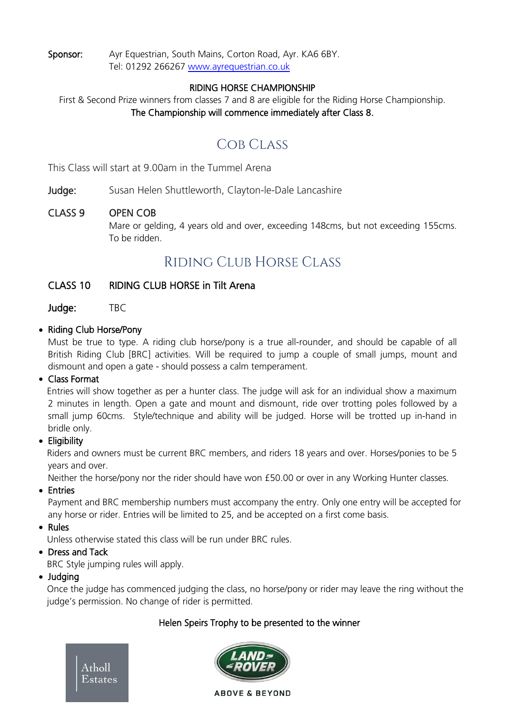Sponsor: Ayr Equestrian, South Mains, Corton Road, Ayr. KA6 6BY. Tel: 01292 266267 [www.ayrequestrian.co.uk](http://www.ayrequestrian.co.uk/)

#### RIDING HORSE CHAMPIONSHIP

First & Second Prize winners from classes 7 and 8 are eligible for the Riding Horse Championship. The Championship will commence immediately after Class 8.

### COB CLASS

This Class will start at 9.00am in the Tummel Arena

#### Judge: Susan Helen Shuttleworth, Clayton-le-Dale Lancashire

#### CLASS 9 OPEN COB

Mare or gelding, 4 years old and over, exceeding 148cms, but not exceeding 155cms. To be ridden.

### RIDING CLUB HORSE CLASS

#### CLASS 10 RIDING CLUB HORSE in Tilt Arena

Judge: TBC

#### • Riding Club Horse/Pony

Must be true to type. A riding club horse/pony is a true all-rounder, and should be capable of all British Riding Club [BRC] activities. Will be required to jump a couple of small jumps, mount and dismount and open a gate - should possess a calm temperament.

#### • Class Format

Entries will show together as per a hunter class. The judge will ask for an individual show a maximum 2 minutes in length. Open a gate and mount and dismount, ride over trotting poles followed by a small jump 60cms. Style/technique and ability will be judged. Horse will be trotted up in-hand in bridle only.

#### • Eligibility

Riders and owners must be current BRC members, and riders 18 years and over. Horses/ponies to be 5 years and over.

Neither the horse/pony nor the rider should have won £50.00 or over in any Working Hunter classes.

#### • Entries

Payment and BRC membership numbers must accompany the entry. Only one entry will be accepted for any horse or rider. Entries will be limited to 25, and be accepted on a first come basis.

#### • Rules

Unless otherwise stated this class will be run under BRC rules.

#### • Dress and Tack

BRC Style jumping rules will apply.

#### • Judging

Once the judge has commenced judging the class, no horse/pony or rider may leave the ring without the judge's permission. No change of rider is permitted.

#### Helen Speirs Trophy to be presented to the winner



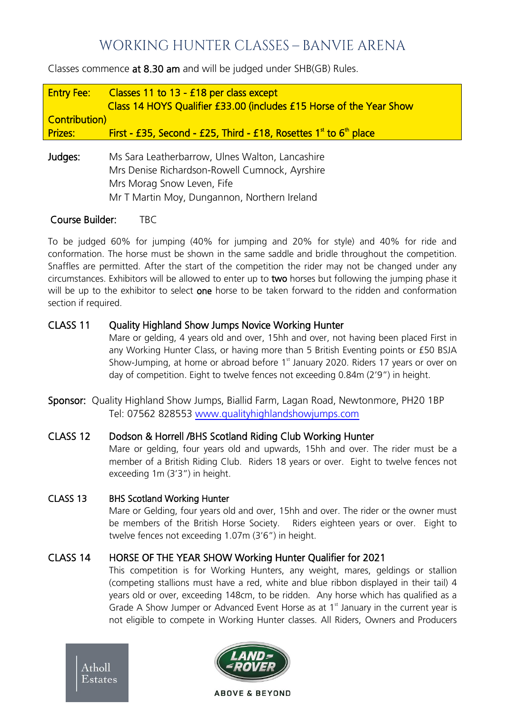### WORKING HUNTER CLASSES - BANVIE ARENA

Classes commence at 8.30 am and will be judged under SHB(GB) Rules.

| <b>Entry Fee:</b>     | Classes 11 to 13 - £18 per class except<br>Class 14 HOYS Qualifier £33.00 (includes £15 Horse of the Year Show |
|-----------------------|----------------------------------------------------------------------------------------------------------------|
| <b>Contribution</b> ) |                                                                                                                |
| <b>Prizes:</b>        | First - £35, Second - £25, Third - £18, Rosettes $1st$ to $6th$ place                                          |
|                       |                                                                                                                |
| Judges:               | Ms Sara Leatherbarrow, Ulnes Walton, Lancashire                                                                |
|                       | Mrs Denise Richardson-Rowell Cumnock, Ayrshire                                                                 |
|                       | Mrs Morag Snow Leven, Fife                                                                                     |
|                       | Mr T Martin Moy, Dungannon, Northern Ireland                                                                   |

Course Builder: TBC

To be judged 60% for jumping (40% for jumping and 20% for style) and 40% for ride and conformation. The horse must be shown in the same saddle and bridle throughout the competition. Snaffles are permitted. After the start of the competition the rider may not be changed under any circumstances. Exhibitors will be allowed to enter up to two horses but following the jumping phase it will be up to the exhibitor to select one horse to be taken forward to the ridden and conformation section if required.

#### CLASS 11 Quality Highland Show Jumps Novice Working Hunter

Mare or gelding, 4 years old and over, 15hh and over, not having been placed First in any Working Hunter Class, or having more than 5 British Eventing points or £50 BSJA Show-Jumping, at home or abroad before  $1<sup>st</sup>$  January 2020. Riders 17 years or over on day of competition. Eight to twelve fences not exceeding 0.84m (2'9") in height.

Sponsor: Quality Highland Show Jumps, Biallid Farm, Lagan Road, Newtonmore, PH20 1BP Tel: 07562 828553 [www.qualityhighlandshowjumps.com](http://www.qualityhighlandshowjumps.com/)

#### CLASS 12 Dodson & Horrell /BHS Scotland Riding Club Working Hunter

Mare or gelding, four years old and upwards, 15hh and over. The rider must be a member of a British Riding Club. Riders 18 years or over. Eight to twelve fences not exceeding 1m (3'3") in height.

#### CLASS 13 BHS Scotland Working Hunter

Mare or Gelding, four years old and over, 15hh and over. The rider or the owner must be members of the British Horse Society. Riders eighteen years or over. Eight to twelve fences not exceeding 1.07m (3'6") in height.

#### CLASS 14 HORSE OF THE YEAR SHOW Working Hunter Qualifier for 2021

This competition is for Working Hunters, any weight, mares, geldings or stallion (competing stallions must have a red, white and blue ribbon displayed in their tail) 4 years old or over, exceeding 148cm, to be ridden. Any horse which has qualified as a Grade A Show Jumper or Advanced Event Horse as at  $1<sup>st</sup>$  January in the current year is not eligible to compete in Working Hunter classes. All Riders, Owners and Producers



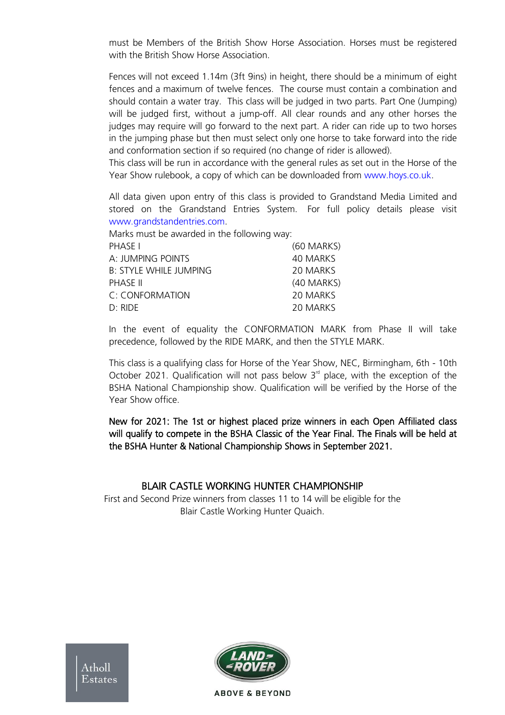must be Members of the British Show Horse Association. Horses must be registered with the British Show Horse Association.

Fences will not exceed 1.14m (3ft 9ins) in height, there should be a minimum of eight fences and a maximum of twelve fences. The course must contain a combination and should contain a water tray. This class will be judged in two parts. Part One (Jumping) will be judged first, without a jump-off. All clear rounds and any other horses the judges may require will go forward to the next part. A rider can ride up to two horses in the jumping phase but then must select only one horse to take forward into the ride and conformation section if so required (no change of rider is allowed).

This class will be run in accordance with the general rules as set out in the Horse of the Year Show rulebook, a copy of which can be downloaded from [www.hoys.co.uk.](http://www.hoys.co.uk/)

All data given upon entry of this class is provided to Grandstand Media Limited and stored on the Grandstand Entries System. For full policy details please visit [www.grandstandentries.com.](http://www.grandstandentries.com/)

Marks must be awarded in the following way:

| (60 MARKS) |
|------------|
| 40 MARKS   |
| 20 MARKS   |
| (40 MARKS) |
| 20 MARKS   |
| 20 MARKS   |
|            |

In the event of equality the CONFORMATION MARK from Phase II will take precedence, followed by the RIDE MARK, and then the STYLE MARK.

This class is a qualifying class for Horse of the Year Show, NEC, Birmingham, 6th - 10th October 2021. Qualification will not pass below  $3<sup>rd</sup>$  place, with the exception of the BSHA National Championship show. Qualification will be verified by the Horse of the Year Show office.

New for 2021: The 1st or highest placed prize winners in each Open Affiliated class will qualify to compete in the BSHA Classic of the Year Final. The Finals will be held at the BSHA Hunter & National Championship Shows in September 2021.

#### BLAIR CASTLE WORKING HUNTER CHAMPIONSHIP

First and Second Prize winners from classes 11 to 14 will be eligible for the Blair Castle Working Hunter Quaich.

**Estates** 

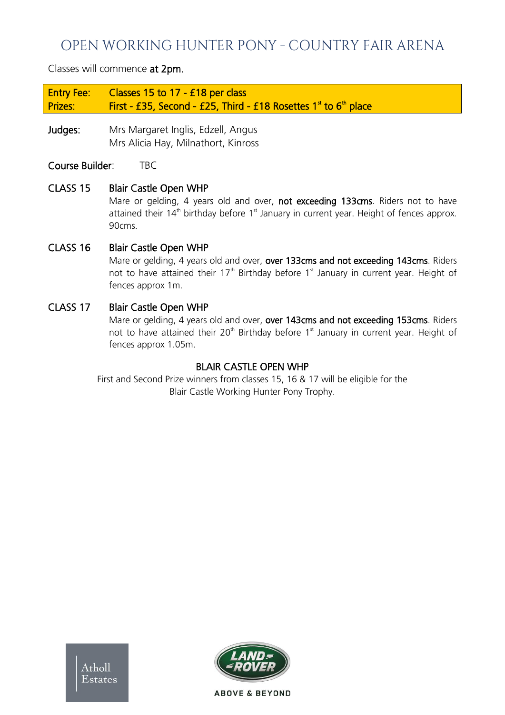### OPEN WORKING HUNTER PONY - COUNTRY FAIR ARENA

Classes will commence at 2pm.

Entry Fee: Classes 15 to 17 - £18 per class Prizes: First - £35, Second - £25, Third - £18 Rosettes  $1^{\text{st}}$  to  $6^{\text{th}}$  place

Judges: Mrs Margaret Inglis, Edzell, Angus Mrs Alicia Hay, Milnathort, Kinross

Course Builder: TBC

CLASS 15 Blair Castle Open WHP

Mare or gelding, 4 years old and over, not exceeding 133cms. Riders not to have attained their  $14<sup>th</sup>$  birthday before  $1<sup>st</sup>$  January in current year. Height of fences approx. 90cms.

CLASS 16 Blair Castle Open WHP

Mare or gelding, 4 years old and over, over 133cms and not exceeding 143cms. Riders not to have attained their 17<sup>th</sup> Birthday before 1<sup>st</sup> January in current year. Height of fences approx 1m.

#### CLASS 17 Blair Castle Open WHP

Mare or gelding, 4 years old and over, over 143cms and not exceeding 153cms. Riders not to have attained their  $20<sup>th</sup>$  Birthday before  $1<sup>st</sup>$  January in current year. Height of fences approx 1.05m.

#### BLAIR CASTLE OPEN WHP

First and Second Prize winners from classes 15, 16 & 17 will be eligible for the Blair Castle Working Hunter Pony Trophy.

Atholl Estates

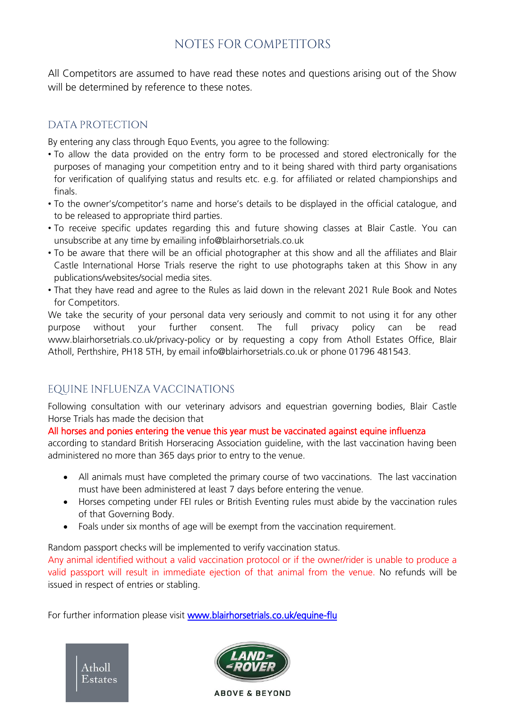### NOTES FOR COMPETITORS

All Competitors are assumed to have read these notes and questions arising out of the Show will be determined by reference to these notes.

#### DATA PROTECTION

By entering any class through Equo Events, you agree to the following:

- To allow the data provided on the entry form to be processed and stored electronically for the purposes of managing your competition entry and to it being shared with third party organisations for verification of qualifying status and results etc. e.g. for affiliated or related championships and finals.
- To the owner's/competitor's name and horse's details to be displayed in the official catalogue, and to be released to appropriate third parties.
- To receive specific updates regarding this and future showing classes at Blair Castle. You can unsubscribe at any time by emailing [info@blairhorsetrials.co.uk](about:blank)
- To be aware that there will be an official photographer at this show and all the affiliates and Blair Castle International Horse Trials reserve the right to use photographs taken at this Show in any publications/websites/social media sites.
- That they have read and agree to the Rules as laid down in the relevant 2021 Rule Book and Notes for Competitors.

We take the security of your personal data very seriously and commit to not using it for any other purpose without your further consent. The full privacy policy can be rea[d](about:blank) [www.blairhorsetrials.co.uk/privacy-policy o](about:blank)r by requesting a copy from Atholl Estates Office, Blair Atholl, Perthshire, PH18 5TH, by email info@blairhorsetrials.co.uk or phone 01796 481543.

### EQUINE INFLUENZA VACCINATIONS

Following consultation with our veterinary advisors and equestrian governing bodies, Blair Castle Horse Trials has made the decision that

#### All horses and ponies entering the venue this year must be vaccinated against equine influenza

according to standard British Horseracing Association guideline, with the last vaccination having been administered no more than 365 days prior to entry to the venue.

- All animals must have completed the primary course of two vaccinations. The last vaccination must have been administered at least 7 days before entering the venue.
- Horses competing under FEI rules or British Eventing rules must abide by the vaccination rules of that Governing Body.
- Foals under six months of age will be exempt from the vaccination requirement.

Random passport checks will be implemented to verify vaccination status.

Any animal identified without a valid vaccination protocol or if the owner/rider is unable to produce a valid passport will result in immediate ejection of that animal from the venue. No refunds will be issued in respect of entries or stabling.

For further information please visit www.blairhorsetrials.co.uk/equine-flu



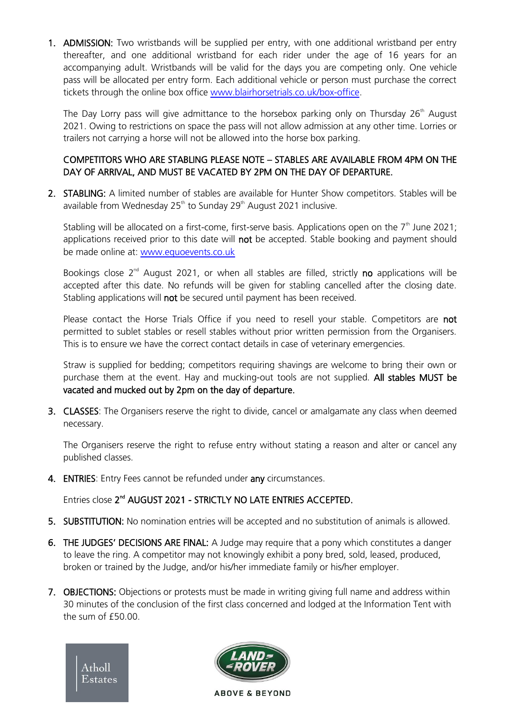1. ADMISSION: Two wristbands will be supplied per entry, with one additional wristband per entry thereafter, and one additional wristband for each rider under the age of 16 years for an accompanying adult. Wristbands will be valid for the days you are competing only. One vehicle pass will be allocated per entry form. Each additional vehicle or person must purchase the correct tickets through the online box office [www.blairhorsetrials.co.uk/box-office.](http://www.blairhorsetrials.co.uk/box-office)

The Day Lorry pass will give admittance to the horsebox parking only on Thursday  $26<sup>th</sup>$  August 2021. Owing to restrictions on space the pass will not allow admission at any other time. Lorries or trailers not carrying a horse will not be allowed into the horse box parking.

#### COMPETITORS WHO ARE STABLING PLEASE NOTE – STABLES ARE AVAILABLE FROM 4PM ON THE DAY OF ARRIVAL, AND MUST BE VACATED BY 2PM ON THE DAY OF DEPARTURE.

2. STABLING: A limited number of stables are available for Hunter Show competitors. Stables will be available from Wednesday  $25<sup>th</sup>$  to Sunday  $29<sup>th</sup>$  August 2021 inclusive.

Stabling will be allocated on a first-come, first-serve basis. Applications open on the  $7<sup>th</sup>$  June 2021; applications received prior to this date will not be accepted. Stable booking and payment should be made online at: [www.equoevents.co.uk](https://www.equoevents.co.uk/Venues/View/757)

Bookings close  $2^{nd}$  August 2021, or when all stables are filled, strictly no applications will be accepted after this date. No refunds will be given for stabling cancelled after the closing date. Stabling applications will not be secured until payment has been received.

Please contact the Horse Trials Office if you need to resell your stable. Competitors are not permitted to sublet stables or resell stables without prior written permission from the Organisers. This is to ensure we have the correct contact details in case of veterinary emergencies.

Straw is supplied for bedding; competitors requiring shavings are welcome to bring their own or purchase them at the event. Hay and mucking-out tools are not supplied. All stables MUST be vacated and mucked out by 2pm on the day of departure.

3. CLASSES: The Organisers reserve the right to divide, cancel or amalgamate any class when deemed necessary.

The Organisers reserve the right to refuse entry without stating a reason and alter or cancel any published classes.

4. **ENTRIES:** Entry Fees cannot be refunded under any circumstances.

Entries close 2<sup>nd</sup> AUGUST 2021 - STRICTLY NO LATE ENTRIES ACCEPTED.

- 5. SUBSTITUTION: No nomination entries will be accepted and no substitution of animals is allowed.
- 6. THE JUDGES' DECISIONS ARE FINAL: A Judge may require that a pony which constitutes a danger to leave the ring. A competitor may not knowingly exhibit a pony bred, sold, leased, produced, broken or trained by the Judge, and/or his/her immediate family or his/her employer.
- 7. OBJECTIONS: Objections or protests must be made in writing giving full name and address within 30 minutes of the conclusion of the first class concerned and lodged at the Information Tent with the sum of £50.00.



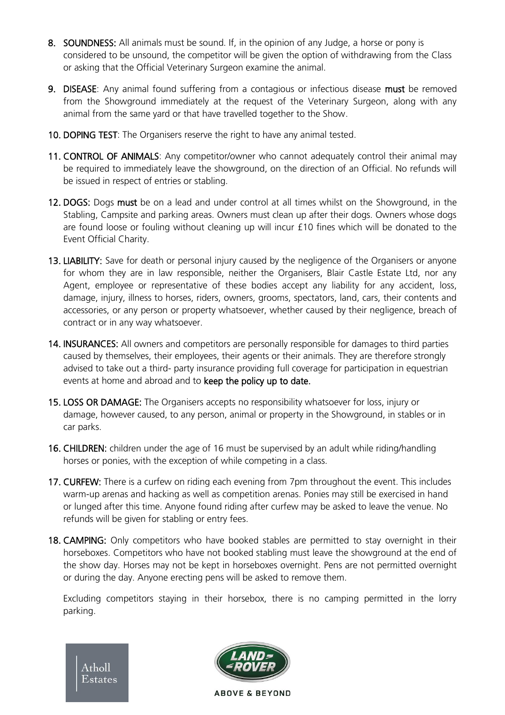- 8. SOUNDNESS: All animals must be sound. If, in the opinion of any Judge, a horse or pony is considered to be unsound, the competitor will be given the option of withdrawing from the Class or asking that the Official Veterinary Surgeon examine the animal.
- 9. DISEASE: Any animal found suffering from a contagious or infectious disease must be removed from the Showground immediately at the request of the Veterinary Surgeon, along with any animal from the same yard or that have travelled together to the Show.
- 10. DOPING TEST: The Organisers reserve the right to have any animal tested.
- 11. CONTROL OF ANIMALS: Any competitor/owner who cannot adequately control their animal may be required to immediately leave the showground, on the direction of an Official. No refunds will be issued in respect of entries or stabling.
- 12. DOGS: Dogs must be on a lead and under control at all times whilst on the Showground, in the Stabling, Campsite and parking areas. Owners must clean up after their dogs. Owners whose dogs are found loose or fouling without cleaning up will incur £10 fines which will be donated to the Event Official Charity.
- 13. LIABILITY: Save for death or personal injury caused by the negligence of the Organisers or anyone for whom they are in law responsible, neither the Organisers, Blair Castle Estate Ltd, nor any Agent, employee or representative of these bodies accept any liability for any accident, loss, damage, injury, illness to horses, riders, owners, grooms, spectators, land, cars, their contents and accessories, or any person or property whatsoever, whether caused by their negligence, breach of contract or in any way whatsoever.
- 14. **INSURANCES:** All owners and competitors are personally responsible for damages to third parties caused by themselves, their employees, their agents or their animals. They are therefore strongly advised to take out a third- party insurance providing full coverage for participation in equestrian events at home and abroad and to keep the policy up to date.
- 15. LOSS OR DAMAGE: The Organisers accepts no responsibility whatsoever for loss, injury or damage, however caused, to any person, animal or property in the Showground, in stables or in car parks.
- 16. CHILDREN: children under the age of 16 must be supervised by an adult while riding/handling horses or ponies, with the exception of while competing in a class.
- 17. CURFEW: There is a curfew on riding each evening from 7pm throughout the event. This includes warm-up arenas and hacking as well as competition arenas. Ponies may still be exercised in hand or lunged after this time. Anyone found riding after curfew may be asked to leave the venue. No refunds will be given for stabling or entry fees.
- 18. CAMPING: Only competitors who have booked stables are permitted to stay overnight in their horseboxes. Competitors who have not booked stabling must leave the showground at the end of the show day. Horses may not be kept in horseboxes overnight. Pens are not permitted overnight or during the day. Anyone erecting pens will be asked to remove them.

Excluding competitors staying in their horsebox, there is no camping permitted in the lorry parking.